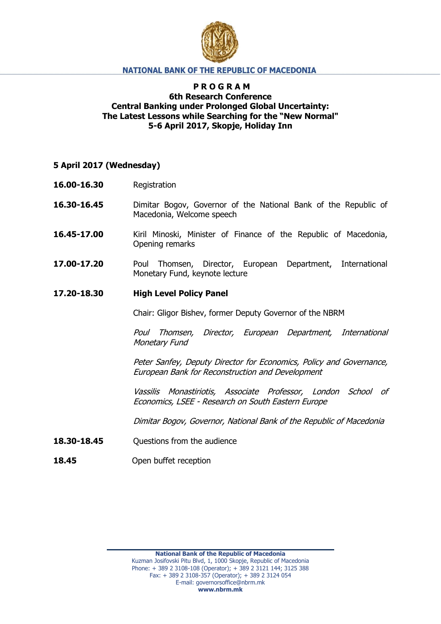

### **NATIONAL BANK OF THE REPUBLIC OF MACEDONIA**

# **P R O G R A M 6th Research Conference Central Banking under Prolonged Global Uncertainty: The Latest Lessons while Searching for the "New Normal" 5-6 April 2017, Skopje, Holiday Inn**

### **5 April 2017 (Wednesday)**

- **16.00-16.30** Registration
- **16.30-16.45** Dimitar Bogov, Governor of the National Bank of the Republic of Macedonia, Welcome speech
- **16.45-17.00** Kiril Minoski, Minister of Finance of the Republic of Macedonia, Opening remarks
- **17.00-17.20** Poul Thomsen, Director, European Department, International Monetary Fund, keynote lecture

#### **17.20-18.30 High Level Policy Panel**

Chair: Gligor Bishev, former Deputy Governor of the NBRM

Poul Thomsen, Director, European Department, International Monetary Fund

Peter Sanfey, Deputy Director for Economics, Policy and Governance, European Bank for Reconstruction and Development

Vassilis Monastiriotis, Associate Professor, London School of Economics, LSEE - Research on South Eastern Europe

Dimitar Bogov, Governor, National Bank of the Republic of Macedonia

- **18.30-18.45 Questions from the audience**
- 18.45 Open buffet reception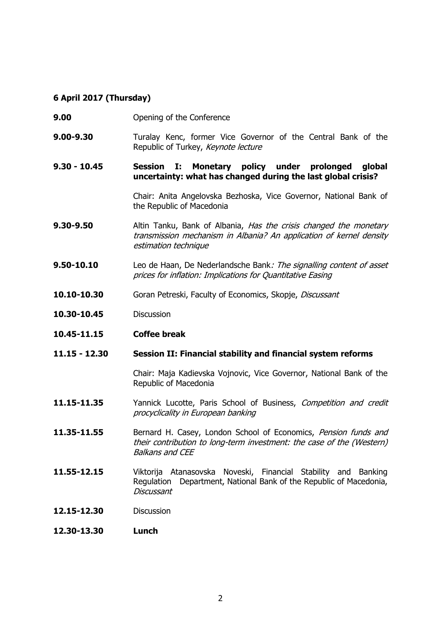## **6 April 2017 (Thursday)**

- **9.00 Opening of the Conference**
- **9.00-9.30** Turalay Kenc, former Vice Governor of the Central Bank of the Republic of Turkey, Keynote lecture
- **9.30 - 10.45 Session I: Monetary policy under prolonged global uncertainty: what has changed during the last global crisis?**

Chair: Anita Angelovska Bezhoska, Vice Governor, National Bank of the Republic of Macedonia

- **9.30-9.50** Altin Tanku, Bank of Albania, *Has the crisis changed the monetary* transmission mechanism in Albania? An application of kernel density estimation technique
- **9.50-10.10** Leo de Haan, De Nederlandsche Bank: The signalling content of asset prices for inflation: Implications for Quantitative Easing
- **10.10-10.30** Goran Petreski, Faculty of Economics, Skopje, *Discussant*
- **10.30-10.45** Discussion
- **10.45-11.15 Coffee break**
- **11.15 - 12.30 Session II: Financial stability and financial system reforms**

Chair: Maja Kadievska Vojnovic, Vice Governor, National Bank of the Republic of Macedonia

- 11.15-11.35 Yannick Lucotte, Paris School of Business, Competition and credit procyclicality in European banking
- 11.35-11.55 **Bernard H. Casey, London School of Economics**, Pension funds and their contribution to long-term investment: the case of the (Western) Balkans and CEE
- **11.55-12.15** Viktorija Atanasovska Noveski, Financial Stability and Banking Regulation Department, National Bank of the Republic of Macedonia, **Discussant**
- **12.15-12.30** Discussion
- **12.30-13.30 Lunch**